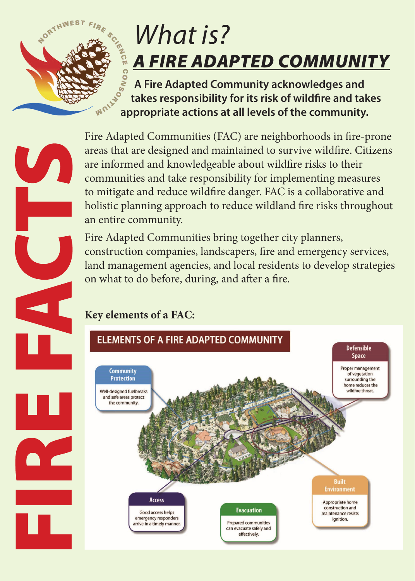

 $\mathbf{U}_{\mathbf{A}}$ 

## *What is? A FIRE ADAPTED COMMUNITY*

 **A Fire Adapted Community acknowledges and takes responsibility for its risk of wildfire and takes acknowledges and and propriate actions at all levels of the community.**<br>W<sup>ONT</sup> appropriate actions at all levels of the community.

Fire Adapted Communities (FAC) are neighborhoods in fire-prone areas that are designed and maintained to survive wildfire. Citizens are informed and knowledgeable about wildfire risks to their communities and take responsibility for implementing measures to mitigate and reduce wildfire danger. FAC is a collaborative and holistic planning approach to reduce wildland fire risks throughout an entire community.

Fire Adapted Communities bring together city planners, construction companies, landscapers, fire and emergency services, land management agencies, and local residents to develop strategies on what to do before, during, and after a fire.

## **Key elements of a FAC:**